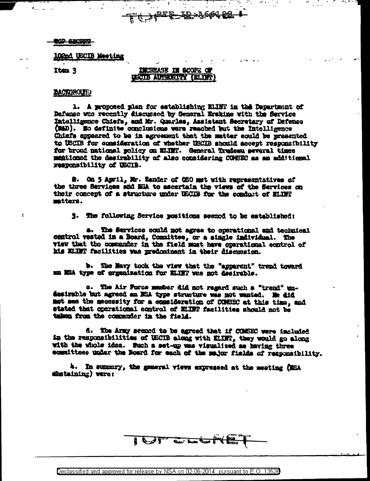### **TOP ABCREP**

**102nd USCIB Meeting** 

Item 3

# INCREASE IN SCOPE OF USCIB AUTHORITY (ELIST)

<u>-ID:A661-23-</u>

<del>`ऍ 入t<sup>RE</sup>F</del>

## **BACTOROLET**

1. A proposed plan for establishing ELINT in this Department of Dafanse was recently discussed by General Erskine with the Service Intelligance Chiefs, and Mr. Quarles, Assistant Secretary of Defense (MAD). Wo definite conclusions were reached but the Intelligence Chiefs appeared to be in agreement that the matter could be presented to USCIB for consideration of whether USCIB should accept responsibility for broad national policy on ELTET. General Trudesn several times mentioned the desirability of also considering COMSEC as an additional responsibility of USCIB.

2. On 5 April, Mr. Zender of OSO met with representatives of the three Services and NEA to ascertain the views of the Services on their concept of a structure under USCIB for the conduct of ELTEP matters.

3. The following Service positions seemed to be established:

a. The Services could not agree to operational and technical control vested in a Board, Committee, or a single individual. The view that the commander in the field must have operational control of his KLINT facilities was predominant in their discussion.

b. The Navy took the view that the "apparent" trend toward ma NEA type of organization for ELINT was not desirable.

c. The Air Force member did not regard such a "trend" undesirable but agreed an NSA type structure was not wanted. He did mot see the necessity for a consideration of COMSEC at this time, and stated that operational control of ELINT facilities should not be taken from the commenter in the field.

d. The Army seemed to be agreed that if COMSEC were included in the responsibilities of USCIB along with ELINT, they would go along with the vhole idea. Such a set-up was visualized as having three committees under the Board for each of the major fields of responsibility.

4. In summery, the general views expressed at the meeting (MSA shetaining) were:

I OT CLOSE

Declassified and approved for release by NSA on 02-06-2014 pursuant to E.O. 13526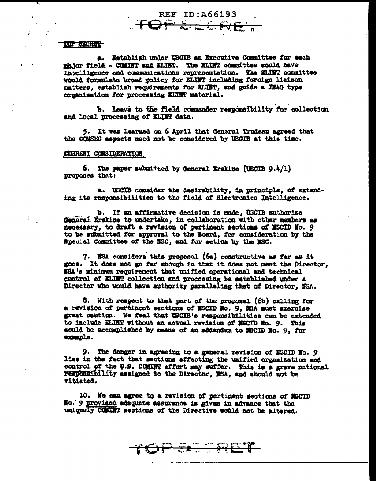#### TOP BECRET

a. Establish under USCIB an Executive Committee for each major field - COMINT and ELINT. The ELINT committee could have intelligence and communications representation. The ELIET committee would formulate broad policy for KLINT including foreign liaison matters, establish requirements for ELINT, and guide a JEAG type crganization for processing KLINT material.

**REF ID: A66193** 

**TOPSELR** 

b. Leave to the field commander responsibility for collection and local processing of ELINT data.

5. It was learned on 6 April that General Trudeau agreed that the COMSEC aspects need not be considered by USCIB at this time.

## CURRENT CONSIDERATION

6. The paper submitted by General Erskine (USCIB  $9.4/1$ ) proposes that:

a. USCIB consider the desirability, in principle, of extending its responsibilities to the field of Electronics Intelligence.

b. If an affirmative decision is made, USCIB authorize General Erskins to undertake, in collaboration with other members as necessary, to draft a revision of pertinent sections of NSCID No. 9 to be submitted for approval to the Board, for consideration by the Special Committee of the NSC, and for action by the NSC.

7. NSA considers this proposal (6a) constructive as far as it goes. It does not go far enough in that it does not meet the Director. XSA's minimum requirement that unified operational and technical control of KLINT collection and processing be established under a Director who would have authority paralleling that of Director. ESA.

6. With respect to that part of the proposal (6b) calling for a revision of pertinent sections of MSCID No. 9, MSA must exercise great caution. We feel that USCIB's responsibilities can be extended to include ELINT without an actual revision of MSCID No. 9. This sould be accomplished by means of an addendum to MSCID No. 9, for example.

9. The danger in agreeing to a general revision of NSCID No. 9 lies in the fact that sections affecting the unified organization and control of the U.S. COMINT effort may suffer. This is a grave national responsibility assigned to the Director, NSA, and should not be vitiated.

ER TRET

10. We can agree to a ravision of pertinent sections of MSCID No. 9 provided adsquate assurance is given in advance that the uniquely COMBIT sections of the Directive would not be altered.